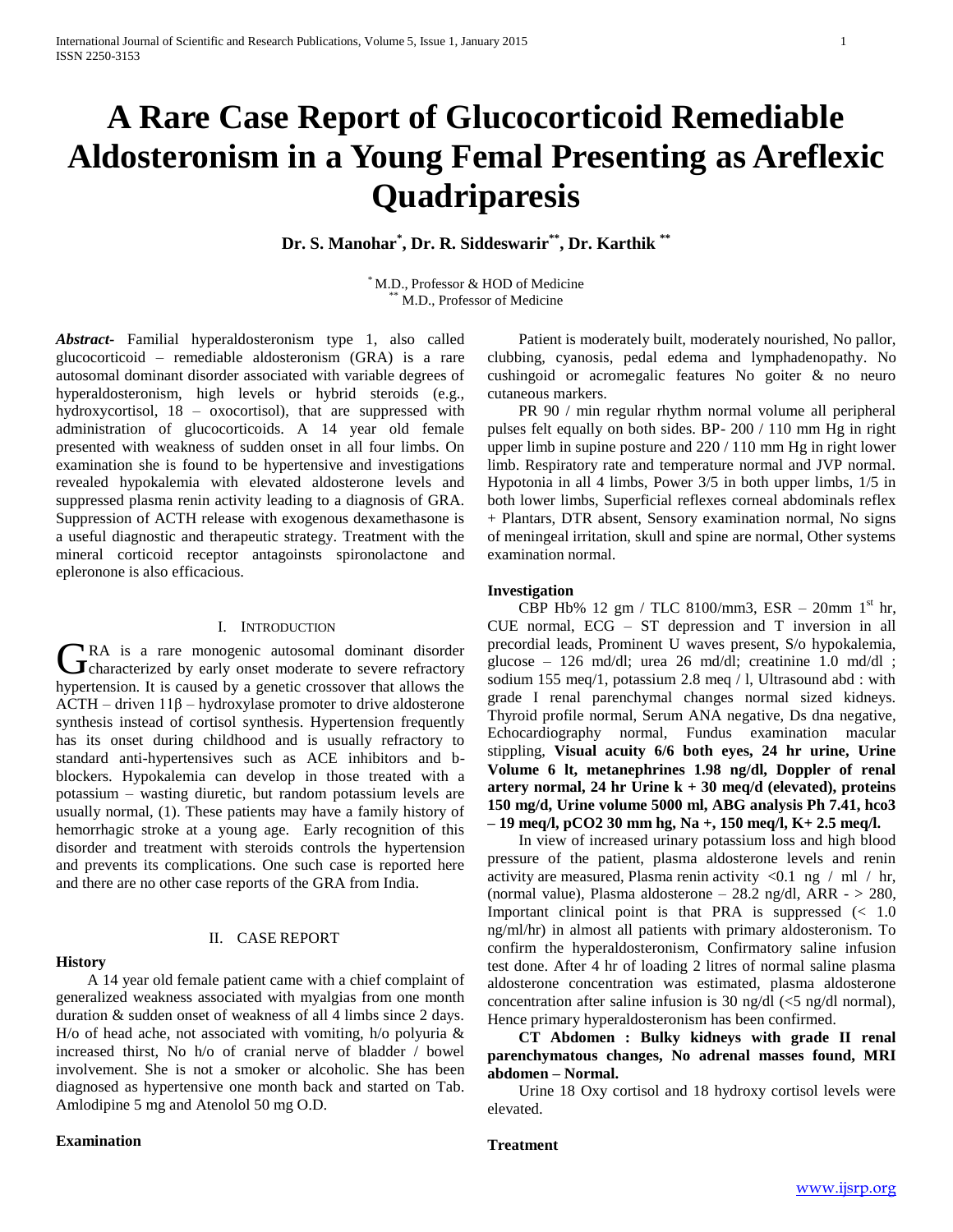# **A Rare Case Report of Glucocorticoid Remediable Aldosteronism in a Young Femal Presenting as Areflexic Quadriparesis**

**Dr. S. Manohar\* , Dr. R. Siddeswarir \*\* , Dr. Karthik \*\***

\* M.D., Professor & HOD of Medicine M.D., Professor of Medicine

*Abstract***-** Familial hyperaldosteronism type 1, also called glucocorticoid – remediable aldosteronism (GRA) is a rare autosomal dominant disorder associated with variable degrees of hyperaldosteronism, high levels or hybrid steroids (e.g., hydroxycortisol, 18 – oxocortisol), that are suppressed with administration of glucocorticoids. A 14 year old female presented with weakness of sudden onset in all four limbs. On examination she is found to be hypertensive and investigations revealed hypokalemia with elevated aldosterone levels and suppressed plasma renin activity leading to a diagnosis of GRA. Suppression of ACTH release with exogenous dexamethasone is a useful diagnostic and therapeutic strategy. Treatment with the mineral corticoid receptor antagoinsts spironolactone and epleronone is also efficacious.

### I. INTRODUCTION

RA is a rare monogenic autosomal dominant disorder GRA is a rare monogenic autosomal dominant disorder<br>
Characterized by early onset moderate to severe refractory hypertension. It is caused by a genetic crossover that allows the ACTH – driven 11β – hydroxylase promoter to drive aldosterone synthesis instead of cortisol synthesis. Hypertension frequently has its onset during childhood and is usually refractory to standard anti-hypertensives such as ACE inhibitors and bblockers. Hypokalemia can develop in those treated with a potassium – wasting diuretic, but random potassium levels are usually normal, (1). These patients may have a family history of hemorrhagic stroke at a young age. Early recognition of this disorder and treatment with steroids controls the hypertension and prevents its complications. One such case is reported here and there are no other case reports of the GRA from India.

## **History**

## II. CASE REPORT

 A 14 year old female patient came with a chief complaint of generalized weakness associated with myalgias from one month duration & sudden onset of weakness of all 4 limbs since 2 days. H/o of head ache, not associated with vomiting, h/o polyuria & increased thirst, No h/o of cranial nerve of bladder / bowel involvement. She is not a smoker or alcoholic. She has been diagnosed as hypertensive one month back and started on Tab. Amlodipine 5 mg and Atenolol 50 mg O.D.

## **Examination**

 Patient is moderately built, moderately nourished, No pallor, clubbing, cyanosis, pedal edema and lymphadenopathy. No cushingoid or acromegalic features No goiter & no neuro cutaneous markers.

 PR 90 / min regular rhythm normal volume all peripheral pulses felt equally on both sides. BP- 200 / 110 mm Hg in right upper limb in supine posture and 220 / 110 mm Hg in right lower limb. Respiratory rate and temperature normal and JVP normal. Hypotonia in all 4 limbs, Power 3/5 in both upper limbs, 1/5 in both lower limbs, Superficial reflexes corneal abdominals reflex + Plantars, DTR absent, Sensory examination normal, No signs of meningeal irritation, skull and spine are normal, Other systems examination normal.

## **Investigation**

 CBP Hb% 12 gm / TLC 8100/mm3, ESR – 20mm 1st hr, CUE normal, ECG – ST depression and T inversion in all precordial leads, Prominent U waves present, S/o hypokalemia, glucose – 126 md/dl; urea 26 md/dl; creatinine 1.0 md/dl ; sodium 155 meq/1, potassium 2.8 meq / l, Ultrasound abd : with grade I renal parenchymal changes normal sized kidneys. Thyroid profile normal, Serum ANA negative, Ds dna negative, Echocardiography normal, Fundus examination macular stippling, **Visual acuity 6/6 both eyes, 24 hr urine, Urine Volume 6 lt, metanephrines 1.98 ng/dl, Doppler of renal artery normal, 24 hr Urine k + 30 meq/d (elevated), proteins 150 mg/d, Urine volume 5000 ml, ABG analysis Ph 7.41, hco3 – 19 meq/l, pCO2 30 mm hg, Na +, 150 meq/l, K+ 2.5 meq/l.** 

 In view of increased urinary potassium loss and high blood pressure of the patient, plasma aldosterone levels and renin activity are measured, Plasma renin activity  $\langle 0.1 \text{ ng } / \text{ ml } / \text{ hr}$ , (normal value), Plasma aldosterone –  $28.2$  ng/dl, ARR  $>$   $280$ , Important clinical point is that PRA is suppressed  $\ll 1.0$ ng/ml/hr) in almost all patients with primary aldosteronism. To confirm the hyperaldosteronism, Confirmatory saline infusion test done. After 4 hr of loading 2 litres of normal saline plasma aldosterone concentration was estimated, plasma aldosterone concentration after saline infusion is 30 ng/dl  $\langle$  5 ng/dl normal), Hence primary hyperaldosteronism has been confirmed.

 **CT Abdomen : Bulky kidneys with grade II renal parenchymatous changes, No adrenal masses found, MRI abdomen – Normal.** 

 Urine 18 Oxy cortisol and 18 hydroxy cortisol levels were elevated.

# **Treatment**